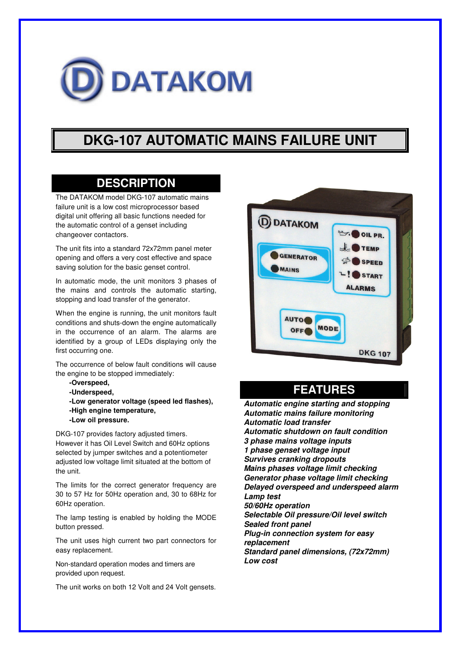

# **DKG-107 AUTOMATIC MAINS FAILURE UNIT**

#### **DESCRIPTION**

The DATAKOM model DKG-107 automatic mains failure unit is a low cost microprocessor based digital unit offering all basic functions needed for the automatic control of a genset including changeover contactors.

The unit fits into a standard 72x72mm panel meter opening and offers a very cost effective and space saving solution for the basic genset control.

In automatic mode, the unit monitors 3 phases of the mains and controls the automatic starting, stopping and load transfer of the generator.

When the engine is running, the unit monitors fault conditions and shuts-down the engine automatically in the occurrence of an alarm. The alarms are identified by a group of LEDs displaying only the first occurring one.

The occurrence of below fault conditions will cause the engine to be stopped immediately:

- **-Overspeed,**
- **-Underspeed,**

**-Low generator voltage (speed led flashes), -High engine temperature, -Low oil pressure.**

DKG-107 provides factory adjusted timers. However it has Oil Level Switch and 60Hz options selected by jumper switches and a potentiometer adjusted low voltage limit situated at the bottom of the unit.

The limits for the correct generator frequency are 30 to 57 Hz for 50Hz operation and, 30 to 68Hz for 60Hz operation.

The lamp testing is enabled by holding the MODE button pressed.

The unit uses high current two part connectors for easy replacement.

Non-standard operation modes and timers are provided upon request.

The unit works on both 12 Volt and 24 Volt gensets.



### **FEATURES**

*Automatic engine starting and stopping Automatic mains failure monitoring Automatic load transfer Automatic shutdown on fault condition 3 phase mains voltage inputs 1 phase genset voltage input Survives cranking dropouts Mains phases voltage limit checking Generator phase voltage limit checking Delayed overspeed and underspeed alarm Lamp test 50/60Hz operation Selectable Oil pressure/Oil level switch Sealed front panel Plug-in connection system for easy replacement Standard panel dimensions, (72x72mm) Low cost*